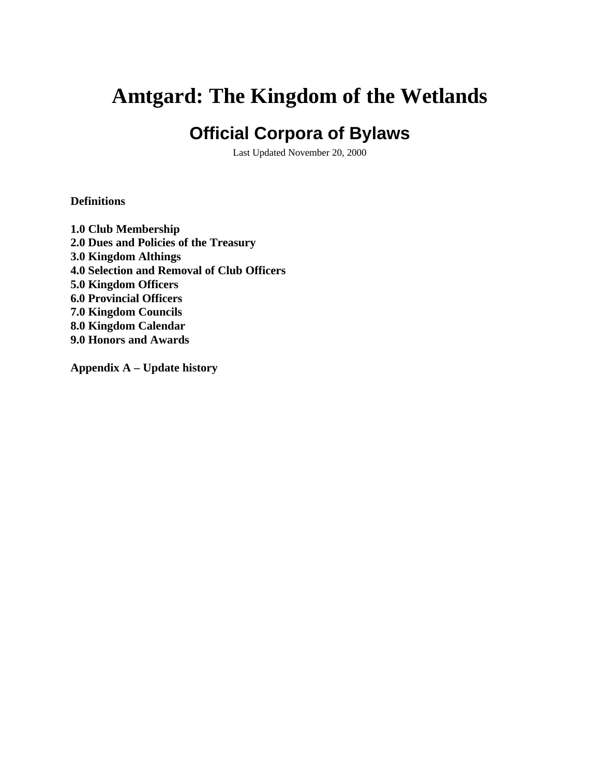# **Amtgard: The Kingdom of the Wetlands**

## **Official Corpora of Bylaws**

Last Updated November 20, 2000

## **Definitions**

**1.0 Club Membership 2.0 Dues and Policies of the Treasury 3.0 Kingdom Althings 4.0 Selection and Removal of Club Officers 5.0 Kingdom Officers 6.0 Provincial Officers 7.0 Kingdom Councils 8.0 Kingdom Calendar 9.0 Honors and Awards**

**Appendix A – Update history**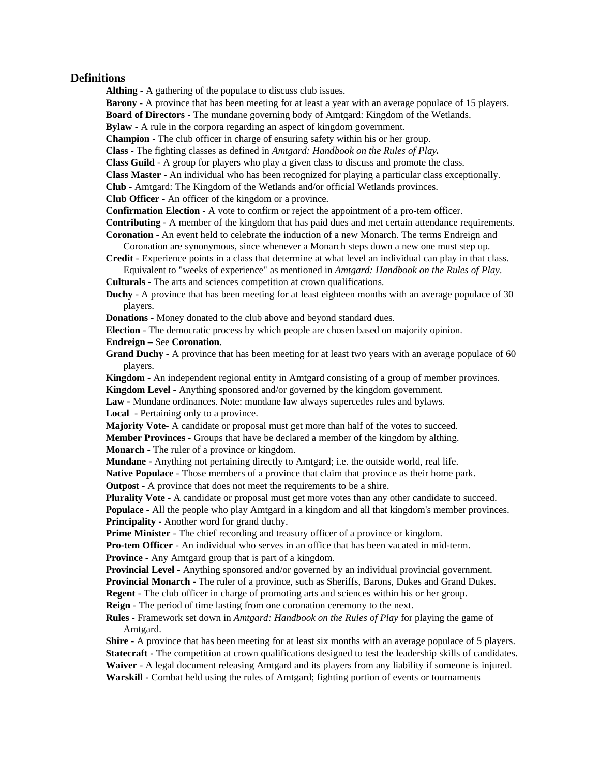## **Definitions**

**Althing** - A gathering of the populace to discuss club issues.

**Barony** - A province that has been meeting for at least a year with an average populace of 15 players.

**Board of Directors** - The mundane governing body of Amtgard: Kingdom of the Wetlands.

**Bylaw -** A rule in the corpora regarding an aspect of kingdom government.

**Champion -** The club officer in charge of ensuring safety within his or her group.

**Class** - The fighting classes as defined in *Amtgard: Handbook on the Rules of Play.*

**Class Guild** - A group for players who play a given class to discuss and promote the class.

**Class Master** - An individual who has been recognized for playing a particular class exceptionally.

**Club** - Amtgard: The Kingdom of the Wetlands and/or official Wetlands provinces.

**Club Officer** - An officer of the kingdom or a province.

**Confirmation Election** - A vote to confirm or reject the appointment of a pro-tem officer.

**Contributing** - A member of the kingdom that has paid dues and met certain attendance requirements. **Coronation -** An event held to celebrate the induction of a new Monarch. The terms Endreign and

Coronation are synonymous, since whenever a Monarch steps down a new one must step up.

**Credit** - Experience points in a class that determine at what level an individual can play in that class. Equivalent to "weeks of experience" as mentioned in *Amtgard: Handbook on the Rules of Play*.

**Culturals -** The arts and sciences competition at crown qualifications.

**Duchy** - A province that has been meeting for at least eighteen months with an average populace of 30 players.

**Donations -** Money donated to the club above and beyond standard dues.

**Election** - The democratic process by which people are chosen based on majority opinion.

#### **Endreign –** See **Coronation**.

**Grand Duchy -** A province that has been meeting for at least two years with an average populace of 60 players.

**Kingdom** - An independent regional entity in Amtgard consisting of a group of member provinces. **Kingdom Level** - Anything sponsored and/or governed by the kingdom government.

**Law -** Mundane ordinances. Note: mundane law always supercedes rules and bylaws.

**Local** - Pertaining only to a province.

**Majority Vote-** A candidate or proposal must get more than half of the votes to succeed. **Member Provinces** - Groups that have be declared a member of the kingdom by althing.

**Monarch** - The ruler of a province or kingdom.

**Mundane -** Anything not pertaining directly to Amtgard; i.e. the outside world, real life.

**Native Populace** - Those members of a province that claim that province as their home park.

**Outpost** - A province that does not meet the requirements to be a shire.

**Plurality Vote** - A candidate or proposal must get more votes than any other candidate to succeed.

**Populace** - All the people who play Amtgard in a kingdom and all that kingdom's member provinces. **Principality** - Another word for grand duchy.

**Prime Minister** - The chief recording and treasury officer of a province or kingdom.

**Pro-tem Officer** - An individual who serves in an office that has been vacated in mid-term. **Province** - Any Amtgard group that is part of a kingdom.

**Provincial Level** - Anything sponsored and/or governed by an individual provincial government.

**Provincial Monarch** - The ruler of a province, such as Sheriffs, Barons, Dukes and Grand Dukes.

**Regent** - The club officer in charge of promoting arts and sciences within his or her group.

**Reign** - The period of time lasting from one coronation ceremony to the next.

**Rules -** Framework set down in *Amtgard: Handbook on the Rules of Play* for playing the game of Amtgard.

**Shire** - A province that has been meeting for at least six months with an average populace of 5 players. **Statecraft** - The competition at crown qualifications designed to test the leadership skills of candidates. **Waiver** - A legal document releasing Amtgard and its players from any liability if someone is injured. **Warskill -** Combat held using the rules of Amtgard; fighting portion of events or tournaments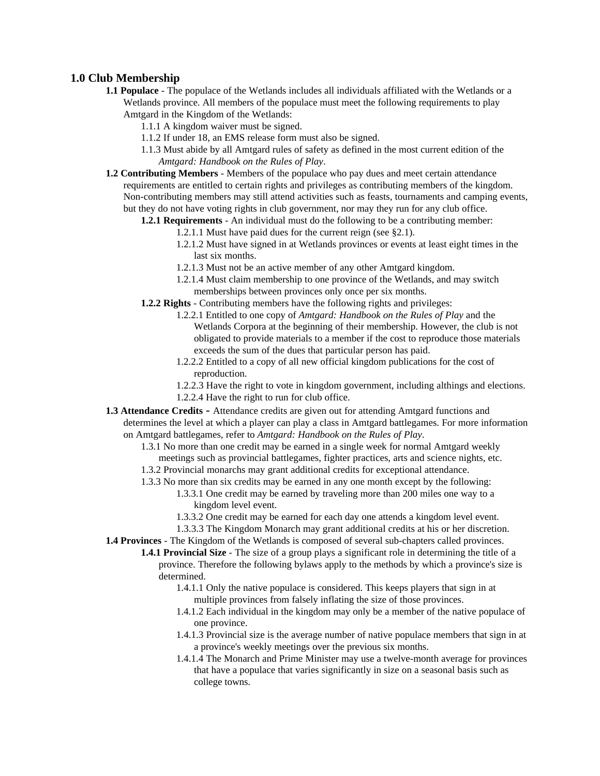## **1.0 Club Membership**

- **1.1 Populace** The populace of the Wetlands includes all individuals affiliated with the Wetlands or a Wetlands province. All members of the populace must meet the following requirements to play Amtgard in the Kingdom of the Wetlands:
	- 1.1.1 A kingdom waiver must be signed.
	- 1.1.2 If under 18, an EMS release form must also be signed.
	- 1.1.3 Must abide by all Amtgard rules of safety as defined in the most current edition of the *Amtgard: Handbook on the Rules of Play*.
- **1.2 Contributing Members** Members of the populace who pay dues and meet certain attendance requirements are entitled to certain rights and privileges as contributing members of the kingdom. Non-contributing members may still attend activities such as feasts, tournaments and camping events, but they do not have voting rights in club government, nor may they run for any club office.
	- **1.2.1 Requirements** An individual must do the following to be a contributing member:
		- 1.2.1.1 Must have paid dues for the current reign (see §2.1).
		- 1.2.1.2 Must have signed in at Wetlands provinces or events at least eight times in the last six months.
		- 1.2.1.3 Must not be an active member of any other Amtgard kingdom.
		- 1.2.1.4 Must claim membership to one province of the Wetlands, and may switch memberships between provinces only once per six months.
	- **1.2.2 Rights** Contributing members have the following rights and privileges:
		- 1.2.2.1 Entitled to one copy of *Amtgard: Handbook on the Rules of Play* and the Wetlands Corpora at the beginning of their membership. However, the club is not obligated to provide materials to a member if the cost to reproduce those materials exceeds the sum of the dues that particular person has paid.
		- 1.2.2.2 Entitled to a copy of all new official kingdom publications for the cost of reproduction.
		- 1.2.2.3 Have the right to vote in kingdom government, including althings and elections. 1.2.2.4 Have the right to run for club office.
- **1.3 Attendance Credits** Attendance credits are given out for attending Amtgard functions and determines the level at which a player can play a class in Amtgard battlegames. For more information on Amtgard battlegames, refer to *Amtgard: Handbook on the Rules of Play*.
	- 1.3.1 No more than one credit may be earned in a single week for normal Amtgard weekly meetings such as provincial battlegames, fighter practices, arts and science nights, etc.
	- 1.3.2 Provincial monarchs may grant additional credits for exceptional attendance.
	- 1.3.3 No more than six credits may be earned in any one month except by the following:
		- 1.3.3.1 One credit may be earned by traveling more than 200 miles one way to a kingdom level event.
		- 1.3.3.2 One credit may be earned for each day one attends a kingdom level event.
		- 1.3.3.3 The Kingdom Monarch may grant additional credits at his or her discretion.

**1.4 Provinces** - The Kingdom of the Wetlands is composed of several sub-chapters called provinces.

**1.4.1 Provincial Size** - The size of a group plays a significant role in determining the title of a province. Therefore the following bylaws apply to the methods by which a province's size is determined.

- 1.4.1.1 Only the native populace is considered. This keeps players that sign in at multiple provinces from falsely inflating the size of those provinces.
- 1.4.1.2 Each individual in the kingdom may only be a member of the native populace of one province.
- 1.4.1.3 Provincial size is the average number of native populace members that sign in at a province's weekly meetings over the previous six months.
- 1.4.1.4 The Monarch and Prime Minister may use a twelve-month average for provinces that have a populace that varies significantly in size on a seasonal basis such as college towns.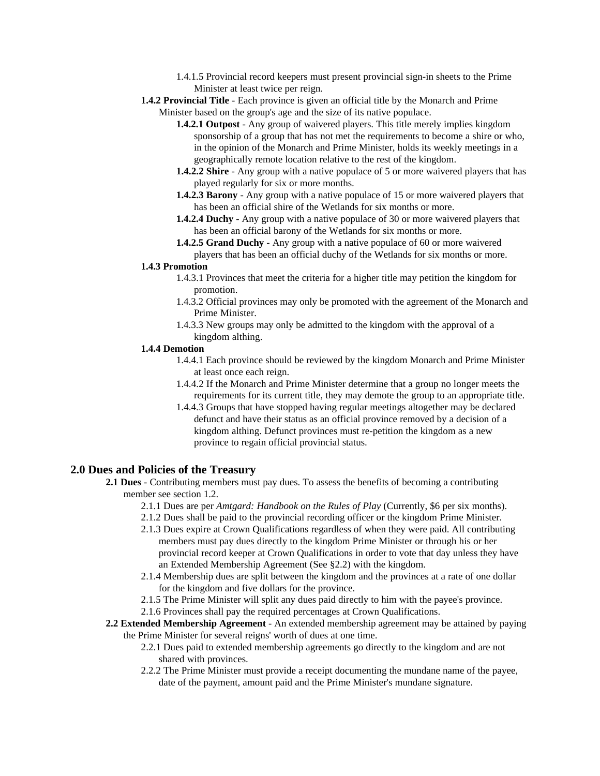- 1.4.1.5 Provincial record keepers must present provincial sign-in sheets to the Prime Minister at least twice per reign.
- **1.4.2 Provincial Title** Each province is given an official title by the Monarch and Prime Minister based on the group's age and the size of its native populace.
	- **1.4.2.1 Outpost** Any group of waivered players. This title merely implies kingdom sponsorship of a group that has not met the requirements to become a shire or who, in the opinion of the Monarch and Prime Minister, holds its weekly meetings in a geographically remote location relative to the rest of the kingdom.
	- **1.4.2.2 Shire** Any group with a native populace of 5 or more waivered players that has played regularly for six or more months.
	- **1.4.2.3 Barony** Any group with a native populace of 15 or more waivered players that has been an official shire of the Wetlands for six months or more.
	- **1.4.2.4 Duchy** Any group with a native populace of 30 or more waivered players that has been an official barony of the Wetlands for six months or more.
	- **1.4.2.5 Grand Duchy** Any group with a native populace of 60 or more waivered players that has been an official duchy of the Wetlands for six months or more.

#### **1.4.3 Promotion**

- 1.4.3.1 Provinces that meet the criteria for a higher title may petition the kingdom for promotion.
- 1.4.3.2 Official provinces may only be promoted with the agreement of the Monarch and Prime Minister.
- 1.4.3.3 New groups may only be admitted to the kingdom with the approval of a kingdom althing.

#### **1.4.4 Demotion**

- 1.4.4.1 Each province should be reviewed by the kingdom Monarch and Prime Minister at least once each reign.
- 1.4.4.2 If the Monarch and Prime Minister determine that a group no longer meets the requirements for its current title, they may demote the group to an appropriate title.
- 1.4.4.3 Groups that have stopped having regular meetings altogether may be declared defunct and have their status as an official province removed by a decision of a kingdom althing. Defunct provinces must re-petition the kingdom as a new province to regain official provincial status.

## **2.0 Dues and Policies of the Treasury**

- **2.1 Dues** Contributing members must pay dues. To assess the benefits of becoming a contributing member see section 1.2.
	- 2.1.1 Dues are per *Amtgard: Handbook on the Rules of Play* (Currently, \$6 per six months).
	- 2.1.2 Dues shall be paid to the provincial recording officer or the kingdom Prime Minister.
	- 2.1.3 Dues expire at Crown Qualifications regardless of when they were paid. All contributing members must pay dues directly to the kingdom Prime Minister or through his or her provincial record keeper at Crown Qualifications in order to vote that day unless they have an Extended Membership Agreement (See §2.2) with the kingdom.
	- 2.1.4 Membership dues are split between the kingdom and the provinces at a rate of one dollar for the kingdom and five dollars for the province.
	- 2.1.5 The Prime Minister will split any dues paid directly to him with the payee's province.
	- 2.1.6 Provinces shall pay the required percentages at Crown Qualifications.

#### **2.2 Extended Membership Agreement** - An extended membership agreement may be attained by paying the Prime Minister for several reigns' worth of dues at one time.

- 2.2.1 Dues paid to extended membership agreements go directly to the kingdom and are not shared with provinces.
- 2.2.2 The Prime Minister must provide a receipt documenting the mundane name of the payee, date of the payment, amount paid and the Prime Minister's mundane signature.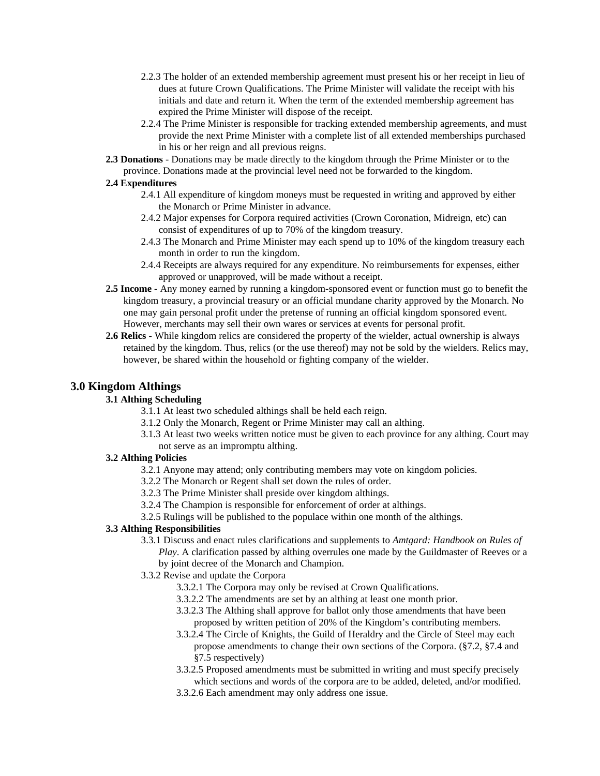- 2.2.3 The holder of an extended membership agreement must present his or her receipt in lieu of dues at future Crown Qualifications. The Prime Minister will validate the receipt with his initials and date and return it. When the term of the extended membership agreement has expired the Prime Minister will dispose of the receipt.
- 2.2.4 The Prime Minister is responsible for tracking extended membership agreements, and must provide the next Prime Minister with a complete list of all extended memberships purchased in his or her reign and all previous reigns.
- **2.3 Donations** Donations may be made directly to the kingdom through the Prime Minister or to the province. Donations made at the provincial level need not be forwarded to the kingdom.

## **2.4 Expenditures**

- 2.4.1 All expenditure of kingdom moneys must be requested in writing and approved by either the Monarch or Prime Minister in advance.
- 2.4.2 Major expenses for Corpora required activities (Crown Coronation, Midreign, etc) can consist of expenditures of up to 70% of the kingdom treasury.
- 2.4.3 The Monarch and Prime Minister may each spend up to 10% of the kingdom treasury each month in order to run the kingdom.
- 2.4.4 Receipts are always required for any expenditure. No reimbursements for expenses, either approved or unapproved, will be made without a receipt.
- **2.5 Income** Any money earned by running a kingdom-sponsored event or function must go to benefit the kingdom treasury, a provincial treasury or an official mundane charity approved by the Monarch. No one may gain personal profit under the pretense of running an official kingdom sponsored event. However, merchants may sell their own wares or services at events for personal profit.
- **2.6 Relics** While kingdom relics are considered the property of the wielder, actual ownership is always retained by the kingdom. Thus, relics (or the use thereof) may not be sold by the wielders. Relics may, however, be shared within the household or fighting company of the wielder.

## **3.0 Kingdom Althings**

## **3.1 Althing Scheduling**

- 3.1.1 At least two scheduled althings shall be held each reign.
- 3.1.2 Only the Monarch, Regent or Prime Minister may call an althing.
- 3.1.3 At least two weeks written notice must be given to each province for any althing. Court may not serve as an impromptu althing.

## **3.2 Althing Policies**

- 3.2.1 Anyone may attend; only contributing members may vote on kingdom policies.
- 3.2.2 The Monarch or Regent shall set down the rules of order.
- 3.2.3 The Prime Minister shall preside over kingdom althings.
- 3.2.4 The Champion is responsible for enforcement of order at althings.
- 3.2.5 Rulings will be published to the populace within one month of the althings.

## **3.3 Althing Responsibilities**

- 3.3.1 Discuss and enact rules clarifications and supplements to *Amtgard: Handbook on Rules of Play*. A clarification passed by althing overrules one made by the Guildmaster of Reeves or a by joint decree of the Monarch and Champion.
- 3.3.2 Revise and update the Corpora
	- 3.3.2.1 The Corpora may only be revised at Crown Qualifications.
	- 3.3.2.2 The amendments are set by an althing at least one month prior.
	- 3.3.2.3 The Althing shall approve for ballot only those amendments that have been proposed by written petition of 20% of the Kingdom's contributing members.
	- 3.3.2.4 The Circle of Knights, the Guild of Heraldry and the Circle of Steel may each propose amendments to change their own sections of the Corpora. (§7.2, §7.4 and §7.5 respectively)
	- 3.3.2.5 Proposed amendments must be submitted in writing and must specify precisely which sections and words of the corpora are to be added, deleted, and/or modified.
	- 3.3.2.6 Each amendment may only address one issue.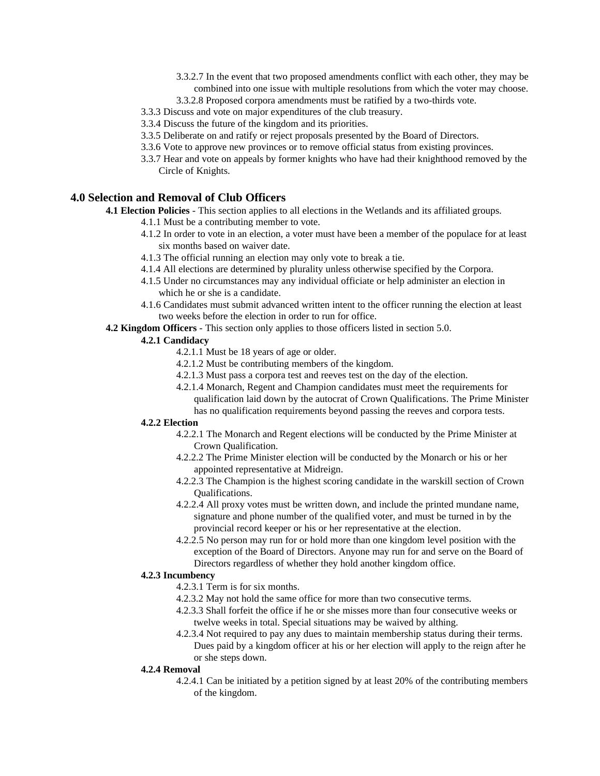- 3.3.2.7 In the event that two proposed amendments conflict with each other, they may be combined into one issue with multiple resolutions from which the voter may choose.
- 3.3.2.8 Proposed corpora amendments must be ratified by a two-thirds vote.
- 3.3.3 Discuss and vote on major expenditures of the club treasury.
- 3.3.4 Discuss the future of the kingdom and its priorities.
- 3.3.5 Deliberate on and ratify or reject proposals presented by the Board of Directors.
- 3.3.6 Vote to approve new provinces or to remove official status from existing provinces.
- 3.3.7 Hear and vote on appeals by former knights who have had their knighthood removed by the Circle of Knights.

## **4.0 Selection and Removal of Club Officers**

**4.1 Election Policies** - This section applies to all elections in the Wetlands and its affiliated groups.

- 4.1.1 Must be a contributing member to vote.
- 4.1.2 In order to vote in an election, a voter must have been a member of the populace for at least six months based on waiver date.
- 4.1.3 The official running an election may only vote to break a tie.
- 4.1.4 All elections are determined by plurality unless otherwise specified by the Corpora.
- 4.1.5 Under no circumstances may any individual officiate or help administer an election in which he or she is a candidate.
- 4.1.6 Candidates must submit advanced written intent to the officer running the election at least two weeks before the election in order to run for office.
- **4.2 Kingdom Officers** This section only applies to those officers listed in section 5.0.

## **4.2.1 Candidacy**

- 4.2.1.1 Must be 18 years of age or older.
- 4.2.1.2 Must be contributing members of the kingdom.
- 4.2.1.3 Must pass a corpora test and reeves test on the day of the election.
- 4.2.1.4 Monarch, Regent and Champion candidates must meet the requirements for qualification laid down by the autocrat of Crown Qualifications. The Prime Minister has no qualification requirements beyond passing the reeves and corpora tests.

## **4.2.2 Election**

- 4.2.2.1 The Monarch and Regent elections will be conducted by the Prime Minister at Crown Qualification.
- 4.2.2.2 The Prime Minister election will be conducted by the Monarch or his or her appointed representative at Midreign.
- 4.2.2.3 The Champion is the highest scoring candidate in the warskill section of Crown Qualifications.
- 4.2.2.4 All proxy votes must be written down, and include the printed mundane name, signature and phone number of the qualified voter, and must be turned in by the provincial record keeper or his or her representative at the election.
- 4.2.2.5 No person may run for or hold more than one kingdom level position with the exception of the Board of Directors. Anyone may run for and serve on the Board of Directors regardless of whether they hold another kingdom office.

#### **4.2.3 Incumbency**

- 4.2.3.1 Term is for six months.
- 4.2.3.2 May not hold the same office for more than two consecutive terms.
- 4.2.3.3 Shall forfeit the office if he or she misses more than four consecutive weeks or twelve weeks in total. Special situations may be waived by althing.
- 4.2.3.4 Not required to pay any dues to maintain membership status during their terms. Dues paid by a kingdom officer at his or her election will apply to the reign after he or she steps down.

#### **4.2.4 Removal**

4.2.4.1 Can be initiated by a petition signed by at least 20% of the contributing members of the kingdom.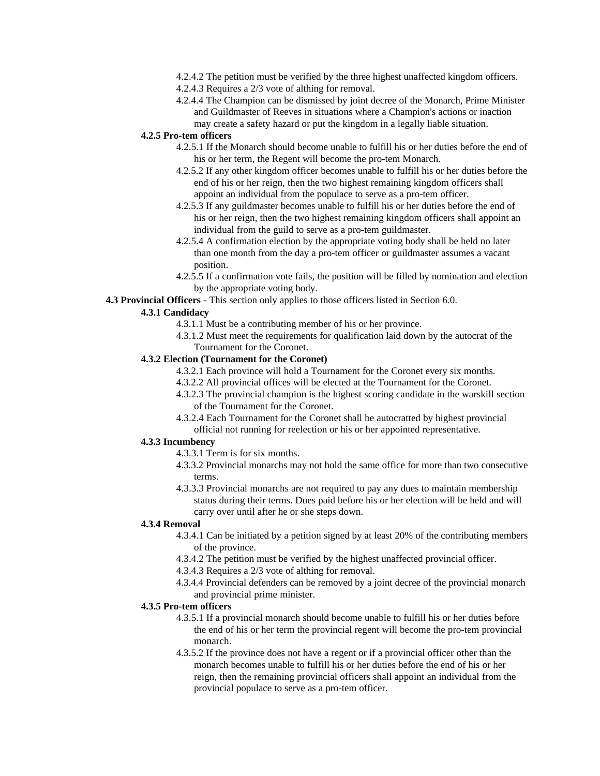- 4.2.4.2 The petition must be verified by the three highest unaffected kingdom officers.
- 4.2.4.3 Requires a 2/3 vote of althing for removal.
- 4.2.4.4 The Champion can be dismissed by joint decree of the Monarch, Prime Minister and Guildmaster of Reeves in situations where a Champion's actions or inaction may create a safety hazard or put the kingdom in a legally liable situation.

#### **4.2.5 Pro-tem officers**

- 4.2.5.1 If the Monarch should become unable to fulfill his or her duties before the end of his or her term, the Regent will become the pro-tem Monarch.
- 4.2.5.2 If any other kingdom officer becomes unable to fulfill his or her duties before the end of his or her reign, then the two highest remaining kingdom officers shall appoint an individual from the populace to serve as a pro-tem officer.
- 4.2.5.3 If any guildmaster becomes unable to fulfill his or her duties before the end of his or her reign, then the two highest remaining kingdom officers shall appoint an individual from the guild to serve as a pro-tem guildmaster.
- 4.2.5.4 A confirmation election by the appropriate voting body shall be held no later than one month from the day a pro-tem officer or guildmaster assumes a vacant position.
- 4.2.5.5 If a confirmation vote fails, the position will be filled by nomination and election by the appropriate voting body.

#### **4.3 Provincial Officers** - This section only applies to those officers listed in Section 6.0.

#### **4.3.1 Candidacy**

- 4.3.1.1 Must be a contributing member of his or her province.
- 4.3.1.2 Must meet the requirements for qualification laid down by the autocrat of the Tournament for the Coronet.

#### **4.3.2 Election (Tournament for the Coronet)**

- 4.3.2.1 Each province will hold a Tournament for the Coronet every six months.
- 4.3.2.2 All provincial offices will be elected at the Tournament for the Coronet.
- 4.3.2.3 The provincial champion is the highest scoring candidate in the warskill section of the Tournament for the Coronet.
- 4.3.2.4 Each Tournament for the Coronet shall be autocratted by highest provincial official not running for reelection or his or her appointed representative.

#### **4.3.3 Incumbency**

- 4.3.3.1 Term is for six months.
- 4.3.3.2 Provincial monarchs may not hold the same office for more than two consecutive terms.
- 4.3.3.3 Provincial monarchs are not required to pay any dues to maintain membership status during their terms. Dues paid before his or her election will be held and will carry over until after he or she steps down.

#### **4.3.4 Removal**

- 4.3.4.1 Can be initiated by a petition signed by at least 20% of the contributing members of the province.
- 4.3.4.2 The petition must be verified by the highest unaffected provincial officer.
- 4.3.4.3 Requires a 2/3 vote of althing for removal.
- 4.3.4.4 Provincial defenders can be removed by a joint decree of the provincial monarch and provincial prime minister.

#### **4.3.5 Pro-tem officers**

- 4.3.5.1 If a provincial monarch should become unable to fulfill his or her duties before the end of his or her term the provincial regent will become the pro-tem provincial monarch.
- 4.3.5.2 If the province does not have a regent or if a provincial officer other than the monarch becomes unable to fulfill his or her duties before the end of his or her reign, then the remaining provincial officers shall appoint an individual from the provincial populace to serve as a pro-tem officer.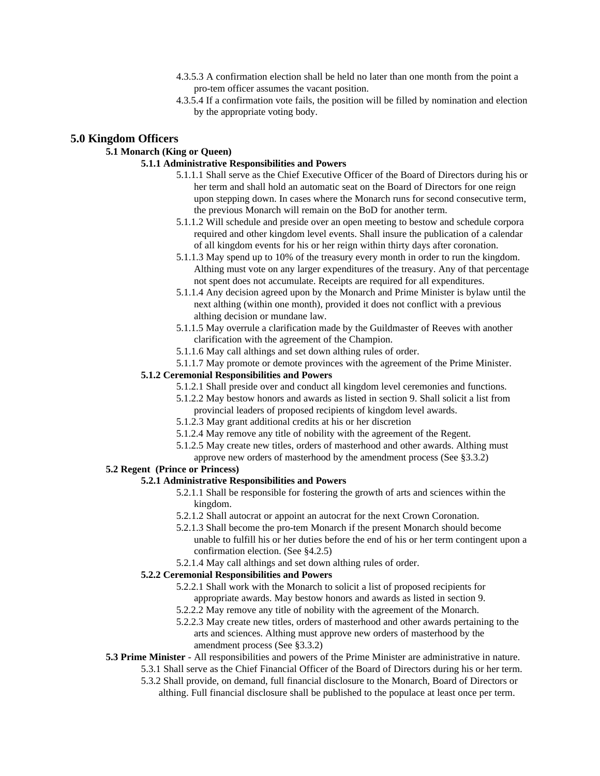- 4.3.5.3 A confirmation election shall be held no later than one month from the point a pro-tem officer assumes the vacant position.
- 4.3.5.4 If a confirmation vote fails, the position will be filled by nomination and election by the appropriate voting body.

#### **5.0 Kingdom Officers**

## **5.1 Monarch (King or Queen)**

## **5.1.1 Administrative Responsibilities and Powers**

- 5.1.1.1 Shall serve as the Chief Executive Officer of the Board of Directors during his or her term and shall hold an automatic seat on the Board of Directors for one reign upon stepping down. In cases where the Monarch runs for second consecutive term, the previous Monarch will remain on the BoD for another term.
- 5.1.1.2 Will schedule and preside over an open meeting to bestow and schedule corpora required and other kingdom level events. Shall insure the publication of a calendar of all kingdom events for his or her reign within thirty days after coronation.
- 5.1.1.3 May spend up to 10% of the treasury every month in order to run the kingdom. Althing must vote on any larger expenditures of the treasury. Any of that percentage not spent does not accumulate. Receipts are required for all expenditures.
- 5.1.1.4 Any decision agreed upon by the Monarch and Prime Minister is bylaw until the next althing (within one month), provided it does not conflict with a previous althing decision or mundane law.
- 5.1.1.5 May overrule a clarification made by the Guildmaster of Reeves with another clarification with the agreement of the Champion.
- 5.1.1.6 May call althings and set down althing rules of order.
- 5.1.1.7 May promote or demote provinces with the agreement of the Prime Minister.

#### **5.1.2 Ceremonial Responsibilities and Powers**

- 5.1.2.1 Shall preside over and conduct all kingdom level ceremonies and functions.
- 5.1.2.2 May bestow honors and awards as listed in section 9. Shall solicit a list from provincial leaders of proposed recipients of kingdom level awards.
- 5.1.2.3 May grant additional credits at his or her discretion
- 5.1.2.4 May remove any title of nobility with the agreement of the Regent.
- 5.1.2.5 May create new titles, orders of masterhood and other awards. Althing must
	- approve new orders of masterhood by the amendment process (See §3.3.2)

## **5.2 Regent (Prince or Princess)**

#### **5.2.1 Administrative Responsibilities and Powers**

- 5.2.1.1 Shall be responsible for fostering the growth of arts and sciences within the kingdom.
- 5.2.1.2 Shall autocrat or appoint an autocrat for the next Crown Coronation.
- 5.2.1.3 Shall become the pro-tem Monarch if the present Monarch should become unable to fulfill his or her duties before the end of his or her term contingent upon a confirmation election. (See §4.2.5)
- 5.2.1.4 May call althings and set down althing rules of order.

#### **5.2.2 Ceremonial Responsibilities and Powers**

- 5.2.2.1 Shall work with the Monarch to solicit a list of proposed recipients for appropriate awards. May bestow honors and awards as listed in section 9.
- 5.2.2.2 May remove any title of nobility with the agreement of the Monarch.
- 5.2.2.3 May create new titles, orders of masterhood and other awards pertaining to the arts and sciences. Althing must approve new orders of masterhood by the amendment process (See §3.3.2)
- **5.3 Prime Minister**  All responsibilities and powers of the Prime Minister are administrative in nature.
	- 5.3.1 Shall serve as the Chief Financial Officer of the Board of Directors during his or her term.
	- 5.3.2 Shall provide, on demand, full financial disclosure to the Monarch, Board of Directors or althing. Full financial disclosure shall be published to the populace at least once per term.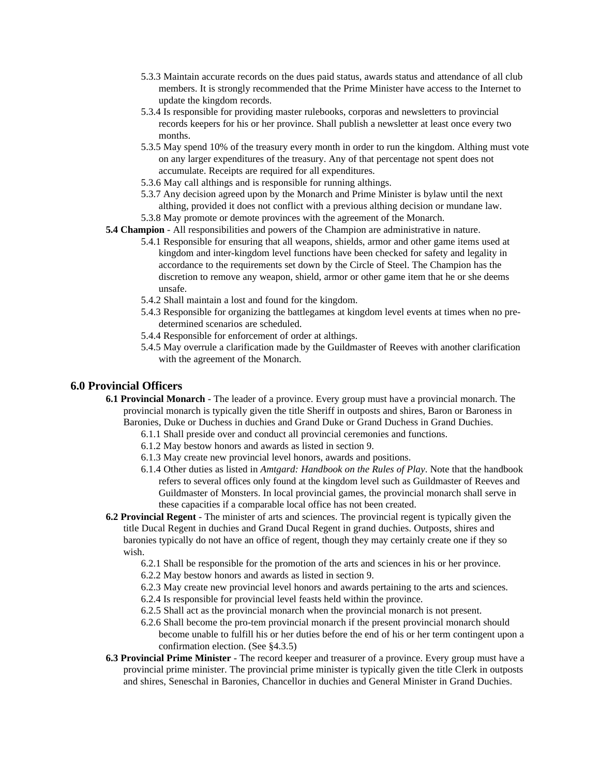- 5.3.3 Maintain accurate records on the dues paid status, awards status and attendance of all club members. It is strongly recommended that the Prime Minister have access to the Internet to update the kingdom records.
- 5.3.4 Is responsible for providing master rulebooks, corporas and newsletters to provincial records keepers for his or her province. Shall publish a newsletter at least once every two months.
- 5.3.5 May spend 10% of the treasury every month in order to run the kingdom. Althing must vote on any larger expenditures of the treasury. Any of that percentage not spent does not accumulate. Receipts are required for all expenditures.
- 5.3.6 May call althings and is responsible for running althings.
- 5.3.7 Any decision agreed upon by the Monarch and Prime Minister is bylaw until the next althing, provided it does not conflict with a previous althing decision or mundane law.
- 5.3.8 May promote or demote provinces with the agreement of the Monarch.
- **5.4 Champion** All responsibilities and powers of the Champion are administrative in nature.
	- 5.4.1 Responsible for ensuring that all weapons, shields, armor and other game items used at kingdom and inter-kingdom level functions have been checked for safety and legality in accordance to the requirements set down by the Circle of Steel. The Champion has the discretion to remove any weapon, shield, armor or other game item that he or she deems unsafe.
	- 5.4.2 Shall maintain a lost and found for the kingdom.
	- 5.4.3 Responsible for organizing the battlegames at kingdom level events at times when no predetermined scenarios are scheduled.
	- 5.4.4 Responsible for enforcement of order at althings.
	- 5.4.5 May overrule a clarification made by the Guildmaster of Reeves with another clarification with the agreement of the Monarch.

## **6.0 Provincial Officers**

- **6.1 Provincial Monarch** The leader of a province. Every group must have a provincial monarch. The provincial monarch is typically given the title Sheriff in outposts and shires, Baron or Baroness in Baronies, Duke or Duchess in duchies and Grand Duke or Grand Duchess in Grand Duchies.
	- 6.1.1 Shall preside over and conduct all provincial ceremonies and functions.
	- 6.1.2 May bestow honors and awards as listed in section 9.
	- 6.1.3 May create new provincial level honors, awards and positions.
	- 6.1.4 Other duties as listed in *Amtgard: Handbook on the Rules of Play*. Note that the handbook refers to several offices only found at the kingdom level such as Guildmaster of Reeves and Guildmaster of Monsters. In local provincial games, the provincial monarch shall serve in these capacities if a comparable local office has not been created.
- **6.2 Provincial Regent** The minister of arts and sciences. The provincial regent is typically given the title Ducal Regent in duchies and Grand Ducal Regent in grand duchies. Outposts, shires and baronies typically do not have an office of regent, though they may certainly create one if they so wish.
	- 6.2.1 Shall be responsible for the promotion of the arts and sciences in his or her province.
	- 6.2.2 May bestow honors and awards as listed in section 9.
	- 6.2.3 May create new provincial level honors and awards pertaining to the arts and sciences.
	- 6.2.4 Is responsible for provincial level feasts held within the province.
	- 6.2.5 Shall act as the provincial monarch when the provincial monarch is not present.
	- 6.2.6 Shall become the pro-tem provincial monarch if the present provincial monarch should become unable to fulfill his or her duties before the end of his or her term contingent upon a confirmation election. (See §4.3.5)
- **6.3 Provincial Prime Minister** The record keeper and treasurer of a province. Every group must have a provincial prime minister. The provincial prime minister is typically given the title Clerk in outposts and shires, Seneschal in Baronies, Chancellor in duchies and General Minister in Grand Duchies.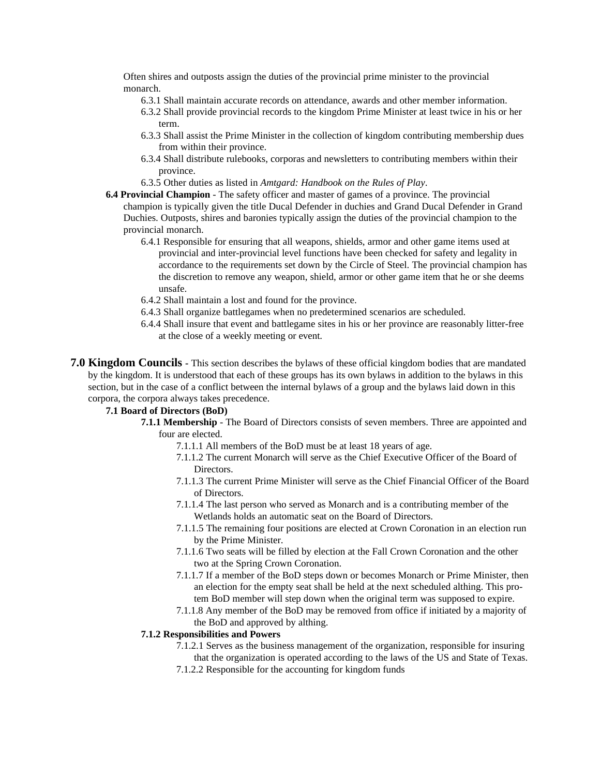Often shires and outposts assign the duties of the provincial prime minister to the provincial monarch.

- 6.3.1 Shall maintain accurate records on attendance, awards and other member information.
- 6.3.2 Shall provide provincial records to the kingdom Prime Minister at least twice in his or her term.
- 6.3.3 Shall assist the Prime Minister in the collection of kingdom contributing membership dues from within their province.
- 6.3.4 Shall distribute rulebooks, corporas and newsletters to contributing members within their province.
- 6.3.5 Other duties as listed in *Amtgard: Handbook on the Rules of Play*.
- **6.4 Provincial Champion** The safety officer and master of games of a province. The provincial champion is typically given the title Ducal Defender in duchies and Grand Ducal Defender in Grand Duchies. Outposts, shires and baronies typically assign the duties of the provincial champion to the provincial monarch.
	- 6.4.1 Responsible for ensuring that all weapons, shields, armor and other game items used at provincial and inter-provincial level functions have been checked for safety and legality in accordance to the requirements set down by the Circle of Steel. The provincial champion has the discretion to remove any weapon, shield, armor or other game item that he or she deems unsafe.
	- 6.4.2 Shall maintain a lost and found for the province.
	- 6.4.3 Shall organize battlegames when no predetermined scenarios are scheduled.
	- 6.4.4 Shall insure that event and battlegame sites in his or her province are reasonably litter-free at the close of a weekly meeting or event.
- **7.0 Kingdom Councils -** This section describes the bylaws of these official kingdom bodies that are mandated by the kingdom. It is understood that each of these groups has its own bylaws in addition to the bylaws in this section, but in the case of a conflict between the internal bylaws of a group and the bylaws laid down in this corpora, the corpora always takes precedence.

#### **7.1 Board of Directors (BoD)**

- **7.1.1 Membership** The Board of Directors consists of seven members. Three are appointed and four are elected.
	- 7.1.1.1 All members of the BoD must be at least 18 years of age.
	- 7.1.1.2 The current Monarch will serve as the Chief Executive Officer of the Board of **Directors**
	- 7.1.1.3 The current Prime Minister will serve as the Chief Financial Officer of the Board of Directors.
	- 7.1.1.4 The last person who served as Monarch and is a contributing member of the Wetlands holds an automatic seat on the Board of Directors.
	- 7.1.1.5 The remaining four positions are elected at Crown Coronation in an election run by the Prime Minister.
	- 7.1.1.6 Two seats will be filled by election at the Fall Crown Coronation and the other two at the Spring Crown Coronation.
	- 7.1.1.7 If a member of the BoD steps down or becomes Monarch or Prime Minister, then an election for the empty seat shall be held at the next scheduled althing. This protem BoD member will step down when the original term was supposed to expire.
	- 7.1.1.8 Any member of the BoD may be removed from office if initiated by a majority of the BoD and approved by althing.

#### **7.1.2 Responsibilities and Powers**

- 7.1.2.1 Serves as the business management of the organization, responsible for insuring that the organization is operated according to the laws of the US and State of Texas.
- 7.1.2.2 Responsible for the accounting for kingdom funds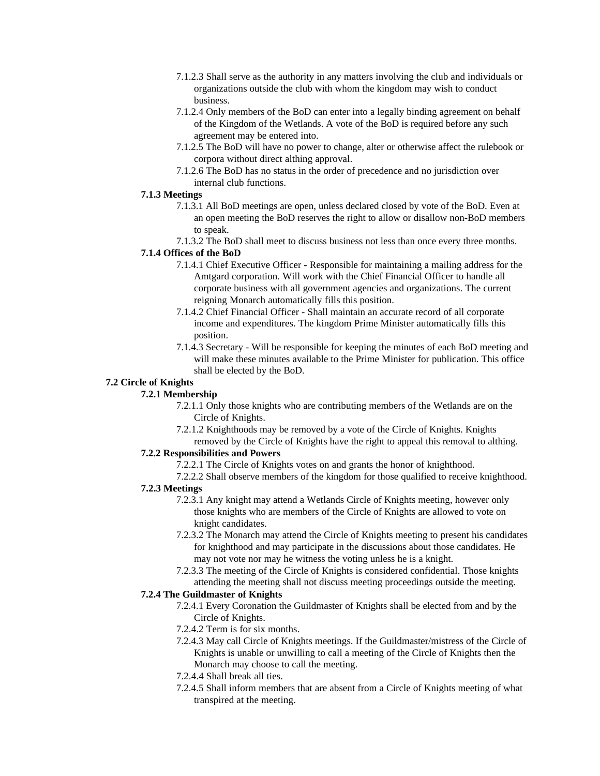- 7.1.2.3 Shall serve as the authority in any matters involving the club and individuals or organizations outside the club with whom the kingdom may wish to conduct business.
- 7.1.2.4 Only members of the BoD can enter into a legally binding agreement on behalf of the Kingdom of the Wetlands. A vote of the BoD is required before any such agreement may be entered into.
- 7.1.2.5 The BoD will have no power to change, alter or otherwise affect the rulebook or corpora without direct althing approval.
- 7.1.2.6 The BoD has no status in the order of precedence and no jurisdiction over internal club functions.

## **7.1.3 Meetings**

- 7.1.3.1 All BoD meetings are open, unless declared closed by vote of the BoD. Even at an open meeting the BoD reserves the right to allow or disallow non-BoD members to speak.
- 7.1.3.2 The BoD shall meet to discuss business not less than once every three months.

#### **7.1.4 Offices of the BoD**

- 7.1.4.1 Chief Executive Officer Responsible for maintaining a mailing address for the Amtgard corporation. Will work with the Chief Financial Officer to handle all corporate business with all government agencies and organizations. The current reigning Monarch automatically fills this position.
- 7.1.4.2 Chief Financial Officer Shall maintain an accurate record of all corporate income and expenditures. The kingdom Prime Minister automatically fills this position.
- 7.1.4.3 Secretary Will be responsible for keeping the minutes of each BoD meeting and will make these minutes available to the Prime Minister for publication. This office shall be elected by the BoD.

#### **7.2 Circle of Knights**

## **7.2.1 Membership**

- 7.2.1.1 Only those knights who are contributing members of the Wetlands are on the Circle of Knights.
- 7.2.1.2 Knighthoods may be removed by a vote of the Circle of Knights. Knights removed by the Circle of Knights have the right to appeal this removal to althing.

## **7.2.2 Responsibilities and Powers**

- 7.2.2.1 The Circle of Knights votes on and grants the honor of knighthood.
- 7.2.2.2 Shall observe members of the kingdom for those qualified to receive knighthood.

## **7.2.3 Meetings**

- 7.2.3.1 Any knight may attend a Wetlands Circle of Knights meeting, however only those knights who are members of the Circle of Knights are allowed to vote on knight candidates.
- 7.2.3.2 The Monarch may attend the Circle of Knights meeting to present his candidates for knighthood and may participate in the discussions about those candidates. He may not vote nor may he witness the voting unless he is a knight.
- 7.2.3.3 The meeting of the Circle of Knights is considered confidential. Those knights attending the meeting shall not discuss meeting proceedings outside the meeting.

#### **7.2.4 The Guildmaster of Knights**

- 7.2.4.1 Every Coronation the Guildmaster of Knights shall be elected from and by the Circle of Knights.
- 7.2.4.2 Term is for six months.
- 7.2.4.3 May call Circle of Knights meetings. If the Guildmaster/mistress of the Circle of Knights is unable or unwilling to call a meeting of the Circle of Knights then the Monarch may choose to call the meeting.
- 7.2.4.4 Shall break all ties.
- 7.2.4.5 Shall inform members that are absent from a Circle of Knights meeting of what transpired at the meeting.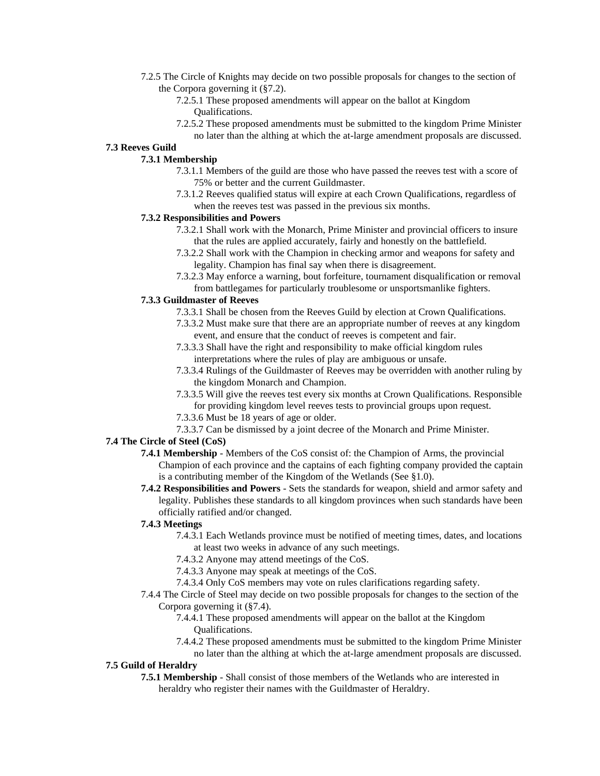- 7.2.5 The Circle of Knights may decide on two possible proposals for changes to the section of the Corpora governing it (§7.2).
	- 7.2.5.1 These proposed amendments will appear on the ballot at Kingdom Qualifications.
	- 7.2.5.2 These proposed amendments must be submitted to the kingdom Prime Minister no later than the althing at which the at-large amendment proposals are discussed.

#### **7.3 Reeves Guild**

## **7.3.1 Membership**

- 7.3.1.1 Members of the guild are those who have passed the reeves test with a score of 75% or better and the current Guildmaster.
- 7.3.1.2 Reeves qualified status will expire at each Crown Qualifications, regardless of when the reeves test was passed in the previous six months.

#### **7.3.2 Responsibilities and Powers**

- 7.3.2.1 Shall work with the Monarch, Prime Minister and provincial officers to insure that the rules are applied accurately, fairly and honestly on the battlefield.
- 7.3.2.2 Shall work with the Champion in checking armor and weapons for safety and legality. Champion has final say when there is disagreement.
- 7.3.2.3 May enforce a warning, bout forfeiture, tournament disqualification or removal from battlegames for particularly troublesome or unsportsmanlike fighters.

#### **7.3.3 Guildmaster of Reeves**

- 7.3.3.1 Shall be chosen from the Reeves Guild by election at Crown Qualifications.
- 7.3.3.2 Must make sure that there are an appropriate number of reeves at any kingdom event, and ensure that the conduct of reeves is competent and fair.
- 7.3.3.3 Shall have the right and responsibility to make official kingdom rules interpretations where the rules of play are ambiguous or unsafe.
- 7.3.3.4 Rulings of the Guildmaster of Reeves may be overridden with another ruling by the kingdom Monarch and Champion.
- 7.3.3.5 Will give the reeves test every six months at Crown Qualifications. Responsible for providing kingdom level reeves tests to provincial groups upon request.
- 7.3.3.6 Must be 18 years of age or older.
- 7.3.3.7 Can be dismissed by a joint decree of the Monarch and Prime Minister.

#### **7.4 The Circle of Steel (CoS)**

- **7.4.1 Membership** Members of the CoS consist of: the Champion of Arms, the provincial Champion of each province and the captains of each fighting company provided the captain is a contributing member of the Kingdom of the Wetlands (See §1.0).
- **7.4.2 Responsibilities and Powers** Sets the standards for weapon, shield and armor safety and legality. Publishes these standards to all kingdom provinces when such standards have been officially ratified and/or changed.

#### **7.4.3 Meetings**

- 7.4.3.1 Each Wetlands province must be notified of meeting times, dates, and locations at least two weeks in advance of any such meetings.
- 7.4.3.2 Anyone may attend meetings of the CoS.
- 7.4.3.3 Anyone may speak at meetings of the CoS.
- 7.4.3.4 Only CoS members may vote on rules clarifications regarding safety.
- 7.4.4 The Circle of Steel may decide on two possible proposals for changes to the section of the Corpora governing it (§7.4).
	- 7.4.4.1 These proposed amendments will appear on the ballot at the Kingdom Qualifications.
	- 7.4.4.2 These proposed amendments must be submitted to the kingdom Prime Minister no later than the althing at which the at-large amendment proposals are discussed.

#### **7.5 Guild of Heraldry**

**7.5.1 Membership** - Shall consist of those members of the Wetlands who are interested in heraldry who register their names with the Guildmaster of Heraldry.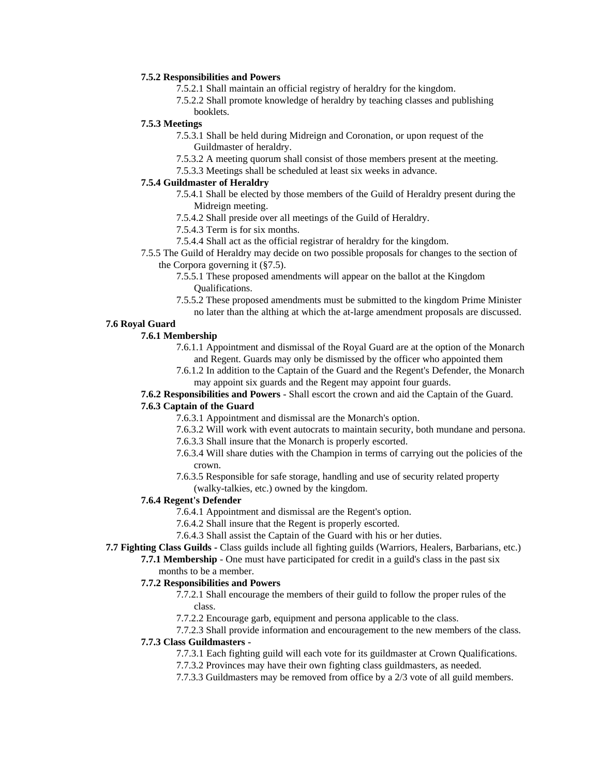#### **7.5.2 Responsibilities and Powers**

- 7.5.2.1 Shall maintain an official registry of heraldry for the kingdom.
- 7.5.2.2 Shall promote knowledge of heraldry by teaching classes and publishing booklets.

## **7.5.3 Meetings**

- 7.5.3.1 Shall be held during Midreign and Coronation, or upon request of the Guildmaster of heraldry.
- 7.5.3.2 A meeting quorum shall consist of those members present at the meeting.
- 7.5.3.3 Meetings shall be scheduled at least six weeks in advance.

#### **7.5.4 Guildmaster of Heraldry**

- 7.5.4.1 Shall be elected by those members of the Guild of Heraldry present during the Midreign meeting.
- 7.5.4.2 Shall preside over all meetings of the Guild of Heraldry.
- 7.5.4.3 Term is for six months.
- 7.5.4.4 Shall act as the official registrar of heraldry for the kingdom.
- 7.5.5 The Guild of Heraldry may decide on two possible proposals for changes to the section of the Corpora governing it (§7.5).
	- 7.5.5.1 These proposed amendments will appear on the ballot at the Kingdom Qualifications.
	- 7.5.5.2 These proposed amendments must be submitted to the kingdom Prime Minister no later than the althing at which the at-large amendment proposals are discussed.

## **7.6 Royal Guard**

#### **7.6.1 Membership**

- 7.6.1.1 Appointment and dismissal of the Royal Guard are at the option of the Monarch and Regent. Guards may only be dismissed by the officer who appointed them
- 7.6.1.2 In addition to the Captain of the Guard and the Regent's Defender, the Monarch may appoint six guards and the Regent may appoint four guards.

## **7.6.2 Responsibilities and Powers** - Shall escort the crown and aid the Captain of the Guard.

#### **7.6.3 Captain of the Guard**

- 7.6.3.1 Appointment and dismissal are the Monarch's option.
- 7.6.3.2 Will work with event autocrats to maintain security, both mundane and persona.
- 7.6.3.3 Shall insure that the Monarch is properly escorted.
- 7.6.3.4 Will share duties with the Champion in terms of carrying out the policies of the crown.
- 7.6.3.5 Responsible for safe storage, handling and use of security related property
	- (walky-talkies, etc.) owned by the kingdom.

## **7.6.4 Regent's Defender**

- 7.6.4.1 Appointment and dismissal are the Regent's option.
- 7.6.4.2 Shall insure that the Regent is properly escorted.
- 7.6.4.3 Shall assist the Captain of the Guard with his or her duties.

## **7.7 Fighting Class Guilds -** Class guilds include all fighting guilds (Warriors, Healers, Barbarians, etc.)

**7.7.1 Membership** - One must have participated for credit in a guild's class in the past six months to be a member.

## **7.7.2 Responsibilities and Powers**

- 7.7.2.1 Shall encourage the members of their guild to follow the proper rules of the class.
- 7.7.2.2 Encourage garb, equipment and persona applicable to the class.
- 7.7.2.3 Shall provide information and encouragement to the new members of the class.

## **7.7.3 Class Guildmasters -**

- 7.7.3.1 Each fighting guild will each vote for its guildmaster at Crown Qualifications.
- 7.7.3.2 Provinces may have their own fighting class guildmasters, as needed.
- 7.7.3.3 Guildmasters may be removed from office by a 2/3 vote of all guild members.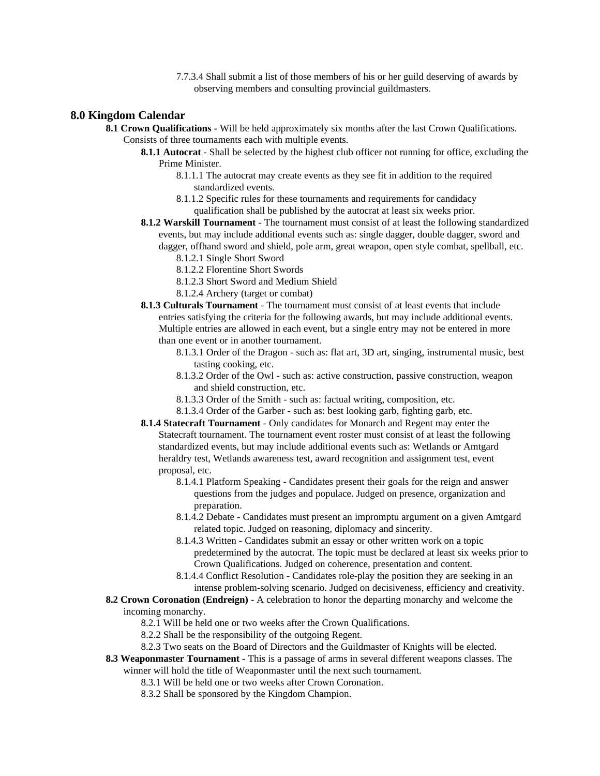7.7.3.4 Shall submit a list of those members of his or her guild deserving of awards by observing members and consulting provincial guildmasters.

## **8.0 Kingdom Calendar**

**8.1 Crown Qualifications -** Will be held approximately six months after the last Crown Qualifications. Consists of three tournaments each with multiple events.

- **8.1.1 Autocrat** Shall be selected by the highest club officer not running for office, excluding the Prime Minister.
	- 8.1.1.1 The autocrat may create events as they see fit in addition to the required standardized events.
	- 8.1.1.2 Specific rules for these tournaments and requirements for candidacy qualification shall be published by the autocrat at least six weeks prior.
- **8.1.2 Warskill Tournament**  The tournament must consist of at least the following standardized events, but may include additional events such as: single dagger, double dagger, sword and dagger, offhand sword and shield, pole arm, great weapon, open style combat, spellball, etc.
	- 8.1.2.1 Single Short Sword
	- 8.1.2.2 Florentine Short Swords
	- 8.1.2.3 Short Sword and Medium Shield
	- 8.1.2.4 Archery (target or combat)
- **8.1.3 Culturals Tournament**  The tournament must consist of at least events that include entries satisfying the criteria for the following awards, but may include additional events. Multiple entries are allowed in each event, but a single entry may not be entered in more than one event or in another tournament.
	- 8.1.3.1 Order of the Dragon such as: flat art, 3D art, singing, instrumental music, best tasting cooking, etc.
	- 8.1.3.2 Order of the Owl such as: active construction, passive construction, weapon and shield construction, etc.
	- 8.1.3.3 Order of the Smith such as: factual writing, composition, etc.
	- 8.1.3.4 Order of the Garber such as: best looking garb, fighting garb, etc.
- **8.1.4 Statecraft Tournament**  Only candidates for Monarch and Regent may enter the Statecraft tournament. The tournament event roster must consist of at least the following standardized events, but may include additional events such as: Wetlands or Amtgard heraldry test, Wetlands awareness test, award recognition and assignment test, event proposal, etc.
	- 8.1.4.1 Platform Speaking Candidates present their goals for the reign and answer questions from the judges and populace. Judged on presence, organization and preparation.
	- 8.1.4.2 Debate Candidates must present an impromptu argument on a given Amtgard related topic. Judged on reasoning, diplomacy and sincerity.
	- 8.1.4.3 Written Candidates submit an essay or other written work on a topic predetermined by the autocrat. The topic must be declared at least six weeks prior to Crown Qualifications. Judged on coherence, presentation and content.
	- 8.1.4.4 Conflict Resolution Candidates role-play the position they are seeking in an intense problem-solving scenario. Judged on decisiveness, efficiency and creativity.
- **8.2 Crown Coronation (Endreign)** A celebration to honor the departing monarchy and welcome the

incoming monarchy.

- 8.2.1 Will be held one or two weeks after the Crown Qualifications.
- 8.2.2 Shall be the responsibility of the outgoing Regent.
- 8.2.3 Two seats on the Board of Directors and the Guildmaster of Knights will be elected.
- **8.3 Weaponmaster Tournament** This is a passage of arms in several different weapons classes. The winner will hold the title of Weaponmaster until the next such tournament.
	- 8.3.1 Will be held one or two weeks after Crown Coronation.
	- 8.3.2 Shall be sponsored by the Kingdom Champion.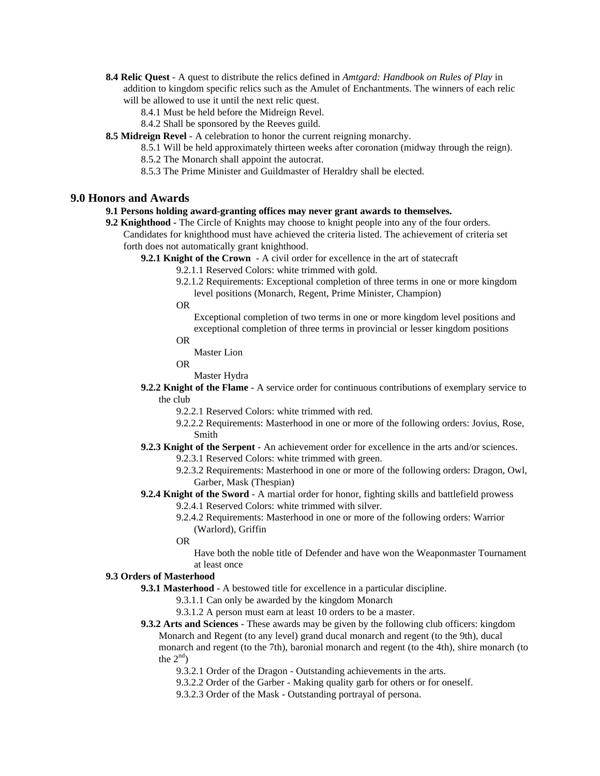- **8.4 Relic Quest** A quest to distribute the relics defined in *Amtgard: Handbook on Rules of Play* in addition to kingdom specific relics such as the Amulet of Enchantments. The winners of each relic will be allowed to use it until the next relic quest.
	- 8.4.1 Must be held before the Midreign Revel.
	- 8.4.2 Shall be sponsored by the Reeves guild.
- **8.5 Midreign Revel** A celebration to honor the current reigning monarchy.
	- 8.5.1 Will be held approximately thirteen weeks after coronation (midway through the reign).
	- 8.5.2 The Monarch shall appoint the autocrat.
	- 8.5.3 The Prime Minister and Guildmaster of Heraldry shall be elected.

## **9.0 Honors and Awards**

#### **9.1 Persons holding award-granting offices may never grant awards to themselves.**

- **9.2 Knighthood** The Circle of Knights may choose to knight people into any of the four orders. Candidates for knighthood must have achieved the criteria listed. The achievement of criteria set forth does not automatically grant knighthood.
	- **9.2.1 Knight of the Crown** A civil order for excellence in the art of statecraft
		- 9.2.1.1 Reserved Colors: white trimmed with gold.
		- 9.2.1.2 Requirements: Exceptional completion of three terms in one or more kingdom level positions (Monarch, Regent, Prime Minister, Champion)
		- OR
			- Exceptional completion of two terms in one or more kingdom level positions and exceptional completion of three terms in provincial or lesser kingdom positions
		- OR
			- Master Lion
		- OR

Master Hydra

- **9.2.2 Knight of the Flame** A service order for continuous contributions of exemplary service to the club
	- 9.2.2.1 Reserved Colors: white trimmed with red.
	- 9.2.2.2 Requirements: Masterhood in one or more of the following orders: Jovius, Rose, Smith
- **9.2.3 Knight of the Serpent** An achievement order for excellence in the arts and/or sciences.
	- 9.2.3.1 Reserved Colors: white trimmed with green.
	- 9.2.3.2 Requirements: Masterhood in one or more of the following orders: Dragon, Owl, Garber, Mask (Thespian)
- **9.2.4 Knight of the Sword** A martial order for honor, fighting skills and battlefield prowess
	- 9.2.4.1 Reserved Colors: white trimmed with silver.
	- 9.2.4.2 Requirements: Masterhood in one or more of the following orders: Warrior (Warlord), Griffin
	- OR

Have both the noble title of Defender and have won the Weaponmaster Tournament at least once

#### **9.3 Orders of Masterhood**

- **9.3.1 Masterhood** A bestowed title for excellence in a particular discipline.
	- 9.3.1.1 Can only be awarded by the kingdom Monarch
	- 9.3.1.2 A person must earn at least 10 orders to be a master.
- **9.3.2 Arts and Sciences** These awards may be given by the following club officers: kingdom Monarch and Regent (to any level) grand ducal monarch and regent (to the 9th), ducal monarch and regent (to the 7th), baronial monarch and regent (to the 4th), shire monarch (to the  $2^{nd}$ )
	- 9.3.2.1 Order of the Dragon Outstanding achievements in the arts.
	- 9.3.2.2 Order of the Garber Making quality garb for others or for oneself.
	- 9.3.2.3 Order of the Mask Outstanding portrayal of persona.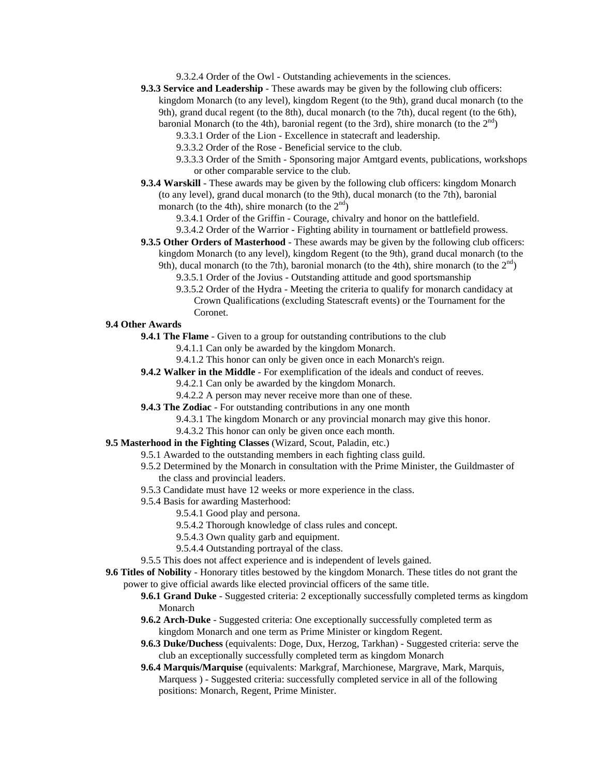9.3.2.4 Order of the Owl - Outstanding achievements in the sciences.

- **9.3.3 Service and Leadership** These awards may be given by the following club officers: kingdom Monarch (to any level), kingdom Regent (to the 9th), grand ducal monarch (to the 9th), grand ducal regent (to the 8th), ducal monarch (to the 7th), ducal regent (to the 6th), baronial Monarch (to the 4th), baronial regent (to the 3rd), shire monarch (to the  $2<sup>nd</sup>$ )
	- 9.3.3.1 Order of the Lion Excellence in statecraft and leadership.
	- 9.3.3.2 Order of the Rose Beneficial service to the club.
	- 9.3.3.3 Order of the Smith Sponsoring major Amtgard events, publications, workshops or other comparable service to the club.
- **9.3.4 Warskill**  These awards may be given by the following club officers: kingdom Monarch (to any level), grand ducal monarch (to the 9th), ducal monarch (to the 7th), baronial monarch (to the 4th), shire monarch (to the  $2<sup>nd</sup>$ )
	- 9.3.4.1 Order of the Griffin Courage, chivalry and honor on the battlefield.
	- 9.3.4.2 Order of the Warrior Fighting ability in tournament or battlefield prowess.
- **9.3.5 Other Orders of Masterhood These awards may be given by the following club officers:** kingdom Monarch (to any level), kingdom Regent (to the 9th), grand ducal monarch (to the 9th), ducal monarch (to the 7th), baronial monarch (to the 4th), shire monarch (to the  $2<sup>nd</sup>$ )
	- 9.3.5.1 Order of the Jovius Outstanding attitude and good sportsmanship
	- 9.3.5.2 Order of the Hydra Meeting the criteria to qualify for monarch candidacy at Crown Qualifications (excluding Statescraft events) or the Tournament for the Coronet.

## **9.4 Other Awards**

- **9.4.1 The Flame** Given to a group for outstanding contributions to the club
	- 9.4.1.1 Can only be awarded by the kingdom Monarch.
	- 9.4.1.2 This honor can only be given once in each Monarch's reign.
- **9.4.2 Walker in the Middle** For exemplification of the ideals and conduct of reeves.
	- 9.4.2.1 Can only be awarded by the kingdom Monarch.
		- 9.4.2.2 A person may never receive more than one of these.
- **9.4.3 The Zodiac** For outstanding contributions in any one month
	- 9.4.3.1 The kingdom Monarch or any provincial monarch may give this honor.
	- 9.4.3.2 This honor can only be given once each month.
- **9.5 Masterhood in the Fighting Classes** (Wizard, Scout, Paladin, etc.)
	- 9.5.1 Awarded to the outstanding members in each fighting class guild.
	- 9.5.2 Determined by the Monarch in consultation with the Prime Minister, the Guildmaster of the class and provincial leaders.
	- 9.5.3 Candidate must have 12 weeks or more experience in the class.
	- 9.5.4 Basis for awarding Masterhood:
		- 9.5.4.1 Good play and persona.
		- 9.5.4.2 Thorough knowledge of class rules and concept.
		- 9.5.4.3 Own quality garb and equipment.
		- 9.5.4.4 Outstanding portrayal of the class.
	- 9.5.5 This does not affect experience and is independent of levels gained.

**9.6 Titles of Nobility** - Honorary titles bestowed by the kingdom Monarch. These titles do not grant the power to give official awards like elected provincial officers of the same title.

- **9.6.1 Grand Duke** Suggested criteria: 2 exceptionally successfully completed terms as kingdom Monarch
- **9.6.2 Arch-Duke** Suggested criteria: One exceptionally successfully completed term as kingdom Monarch and one term as Prime Minister or kingdom Regent.
- **9.6.3 Duke/Duchess** (equivalents: Doge, Dux, Herzog, Tarkhan) Suggested criteria: serve the club an exceptionally successfully completed term as kingdom Monarch
- **9.6.4 Marquis/Marquise** (equivalents: Markgraf, Marchionese, Margrave, Mark, Marquis, Marquess ) - Suggested criteria: successfully completed service in all of the following positions: Monarch, Regent, Prime Minister.